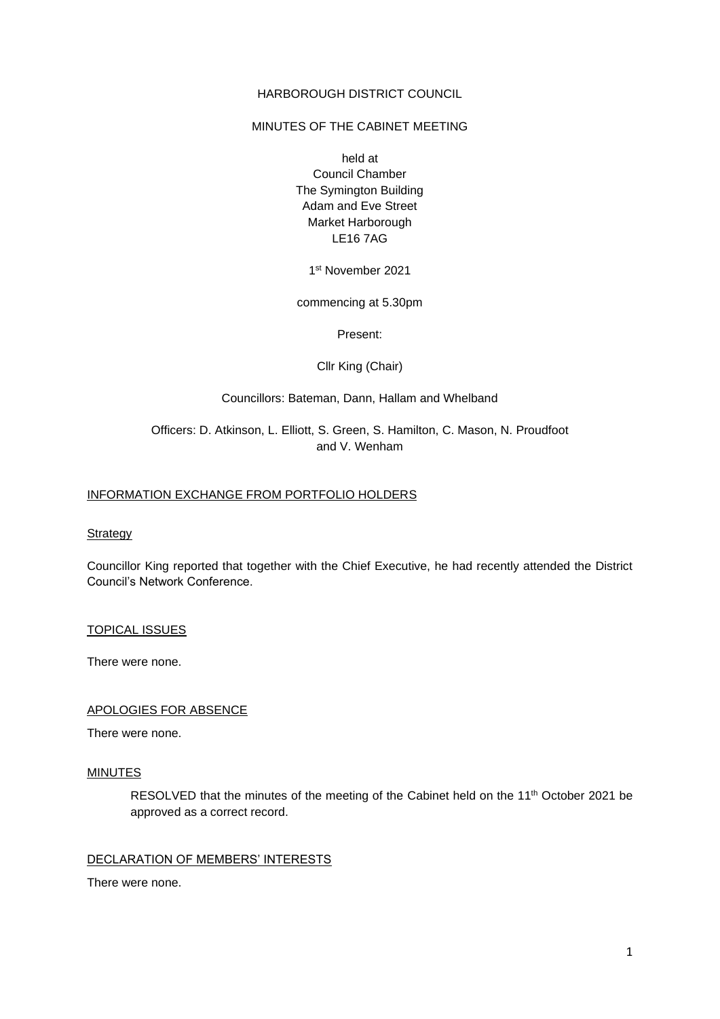### HARBOROUGH DISTRICT COUNCIL

### MINUTES OF THE CABINET MEETING

held at Council Chamber The Symington Building Adam and Eve Street Market Harborough LE16 7AG

1 st November 2021

commencing at 5.30pm

Present:

Cllr King (Chair)

Councillors: Bateman, Dann, Hallam and Whelband

# Officers: D. Atkinson, L. Elliott, S. Green, S. Hamilton, C. Mason, N. Proudfoot and V. Wenham

### INFORMATION EXCHANGE FROM PORTFOLIO HOLDERS

**Strategy** 

Councillor King reported that together with the Chief Executive, he had recently attended the District Council's Network Conference.

TOPICAL ISSUES

There were none.

### APOLOGIES FOR ABSENCE

There were none.

#### **MINUTES**

RESOLVED that the minutes of the meeting of the Cabinet held on the 11<sup>th</sup> October 2021 be approved as a correct record.

# DECLARATION OF MEMBERS' INTERESTS

There were none.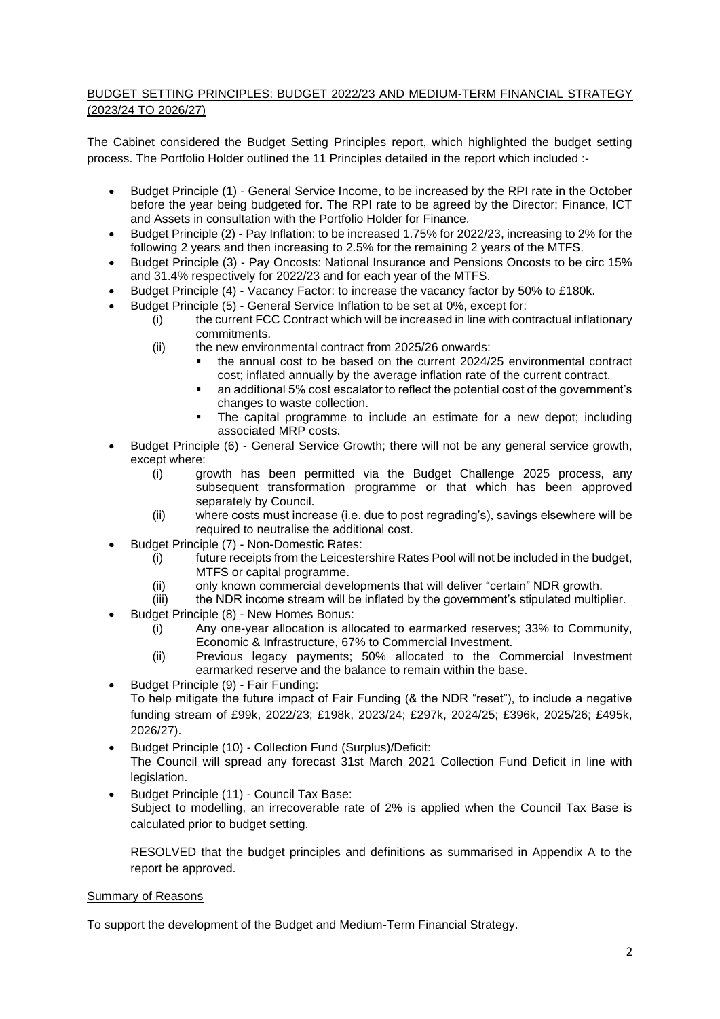# BUDGET SETTING PRINCIPLES: BUDGET 2022/23 AND MEDIUM-TERM FINANCIAL STRATEGY (2023/24 TO 2026/27)

The Cabinet considered the Budget Setting Principles report, which highlighted the budget setting process. The Portfolio Holder outlined the 11 Principles detailed in the report which included :-

- Budget Principle (1) General Service Income, to be increased by the RPI rate in the October before the year being budgeted for. The RPI rate to be agreed by the Director; Finance, ICT and Assets in consultation with the Portfolio Holder for Finance.
- Budget Principle (2) Pay Inflation: to be increased 1.75% for 2022/23, increasing to 2% for the following 2 years and then increasing to 2.5% for the remaining 2 years of the MTFS.
- Budget Principle (3) Pay Oncosts: National Insurance and Pensions Oncosts to be circ 15% and 31.4% respectively for 2022/23 and for each year of the MTFS.
- Budget Principle (4) Vacancy Factor: to increase the vacancy factor by 50% to £180k.
- Budget Principle (5) General Service Inflation to be set at 0%, except for:
	- (i) the current FCC Contract which will be increased in line with contractual inflationary commitments.
	- (ii) the new environmental contract from 2025/26 onwards:
		- the annual cost to be based on the current 2024/25 environmental contract cost; inflated annually by the average inflation rate of the current contract.
		- an additional 5% cost escalator to reflect the potential cost of the government's changes to waste collection.
		- The capital programme to include an estimate for a new depot; including associated MRP costs.
- Budget Principle (6) General Service Growth; there will not be any general service growth, except where:
	- (i) growth has been permitted via the Budget Challenge 2025 process, any subsequent transformation programme or that which has been approved separately by Council.
	- (ii) where costs must increase (i.e. due to post regrading's), savings elsewhere will be required to neutralise the additional cost.
- Budget Principle (7) Non-Domestic Rates:
	- (i) future receipts from the Leicestershire Rates Pool will not be included in the budget, MTFS or capital programme.
	- (ii) only known commercial developments that will deliver "certain" NDR growth.
	- (iii) the NDR income stream will be inflated by the government's stipulated multiplier.
- Budget Principle (8) New Homes Bonus:
	- $(i)$  Any one-year allocation is allocated to earmarked reserves; 33% to Community, Economic & Infrastructure, 67% to Commercial Investment.
	- (ii) Previous legacy payments; 50% allocated to the Commercial Investment earmarked reserve and the balance to remain within the base.
- Budget Principle (9) Fair Funding: To help mitigate the future impact of Fair Funding (& the NDR "reset"), to include a negative funding stream of £99k, 2022/23; £198k, 2023/24; £297k, 2024/25; £396k, 2025/26; £495k, 2026/27).
- Budget Principle (10) Collection Fund (Surplus)/Deficit: The Council will spread any forecast 31st March 2021 Collection Fund Deficit in line with legislation.
- Budget Principle (11) Council Tax Base: Subject to modelling, an irrecoverable rate of 2% is applied when the Council Tax Base is calculated prior to budget setting.

RESOLVED that the budget principles and definitions as summarised in Appendix A to the report be approved.

# Summary of Reasons

To support the development of the Budget and Medium-Term Financial Strategy.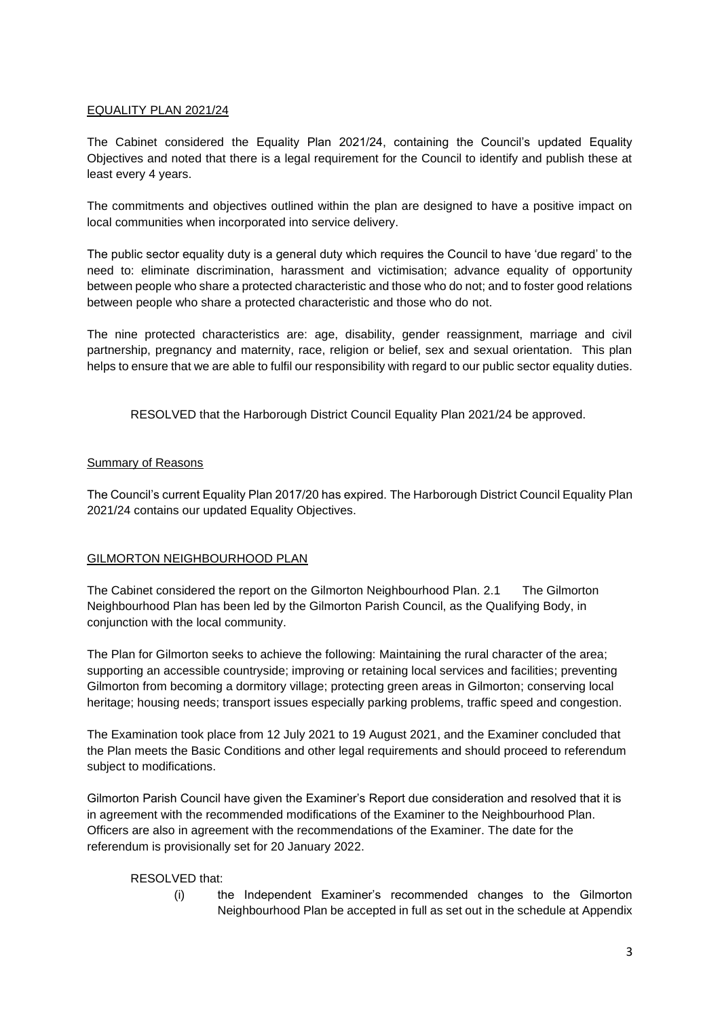# EQUALITY PLAN 2021/24

The Cabinet considered the Equality Plan 2021/24, containing the Council's updated Equality Objectives and noted that there is a legal requirement for the Council to identify and publish these at least every 4 years.

The commitments and objectives outlined within the plan are designed to have a positive impact on local communities when incorporated into service delivery.

The public sector equality duty is a general duty which requires the Council to have 'due regard' to the need to: eliminate discrimination, harassment and victimisation; advance equality of opportunity between people who share a protected characteristic and those who do not; and to foster good relations between people who share a protected characteristic and those who do not.

The nine protected characteristics are: age, disability, gender reassignment, marriage and civil partnership, pregnancy and maternity, race, religion or belief, sex and sexual orientation. This plan helps to ensure that we are able to fulfil our responsibility with regard to our public sector equality duties.

RESOLVED that the Harborough District Council Equality Plan 2021/24 be approved.

# Summary of Reasons

The Council's current Equality Plan 2017/20 has expired. The Harborough District Council Equality Plan 2021/24 contains our updated Equality Objectives.

# GILMORTON NEIGHBOURHOOD PLAN

The Cabinet considered the report on the Gilmorton Neighbourhood Plan. 2.1 The Gilmorton Neighbourhood Plan has been led by the Gilmorton Parish Council, as the Qualifying Body, in conjunction with the local community.

The Plan for Gilmorton seeks to achieve the following: Maintaining the rural character of the area; supporting an accessible countryside; improving or retaining local services and facilities; preventing Gilmorton from becoming a dormitory village; protecting green areas in Gilmorton; conserving local heritage; housing needs; transport issues especially parking problems, traffic speed and congestion.

The Examination took place from 12 July 2021 to 19 August 2021, and the Examiner concluded that the Plan meets the Basic Conditions and other legal requirements and should proceed to referendum subject to modifications.

Gilmorton Parish Council have given the Examiner's Report due consideration and resolved that it is in agreement with the recommended modifications of the Examiner to the Neighbourhood Plan. Officers are also in agreement with the recommendations of the Examiner. The date for the referendum is provisionally set for 20 January 2022.

# RESOLVED that:

(i) the Independent Examiner's recommended changes to the Gilmorton Neighbourhood Plan be accepted in full as set out in the schedule at Appendix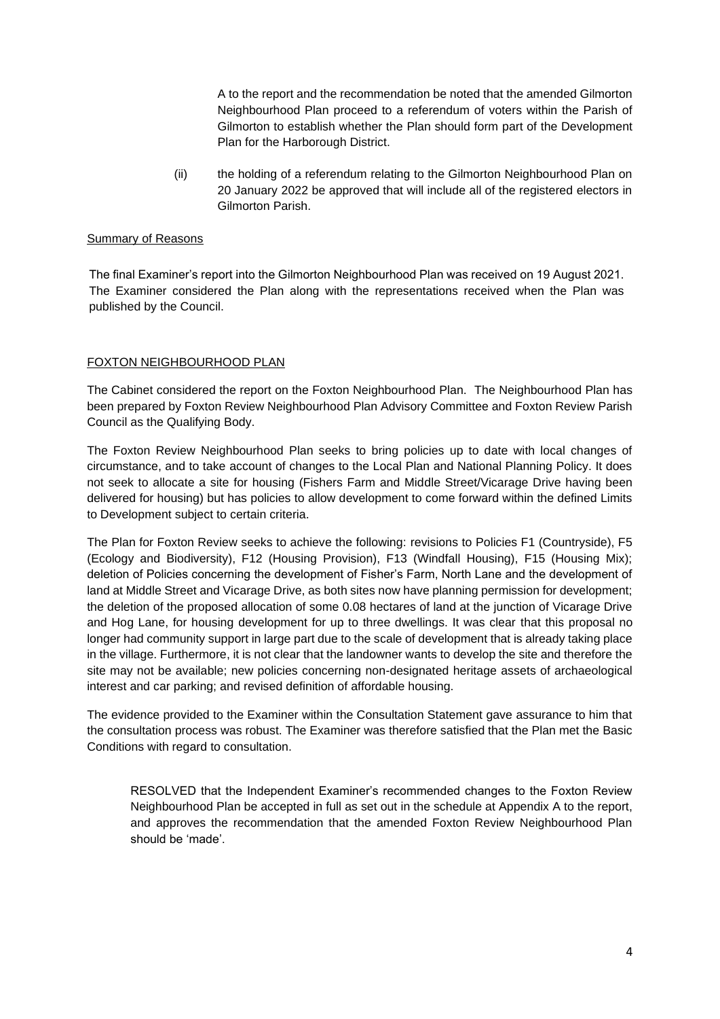A to the report and the recommendation be noted that the amended Gilmorton Neighbourhood Plan proceed to a referendum of voters within the Parish of Gilmorton to establish whether the Plan should form part of the Development Plan for the Harborough District.

(ii) the holding of a referendum relating to the Gilmorton Neighbourhood Plan on 20 January 2022 be approved that will include all of the registered electors in Gilmorton Parish.

### Summary of Reasons

The final Examiner's report into the Gilmorton Neighbourhood Plan was received on 19 August 2021. The Examiner considered the Plan along with the representations received when the Plan was published by the Council.

### FOXTON NEIGHBOURHOOD PLAN

The Cabinet considered the report on the Foxton Neighbourhood Plan. The Neighbourhood Plan has been prepared by Foxton Review Neighbourhood Plan Advisory Committee and Foxton Review Parish Council as the Qualifying Body.

The Foxton Review Neighbourhood Plan seeks to bring policies up to date with local changes of circumstance, and to take account of changes to the Local Plan and National Planning Policy. It does not seek to allocate a site for housing (Fishers Farm and Middle Street/Vicarage Drive having been delivered for housing) but has policies to allow development to come forward within the defined Limits to Development subject to certain criteria.

The Plan for Foxton Review seeks to achieve the following: revisions to Policies F1 (Countryside), F5 (Ecology and Biodiversity), F12 (Housing Provision), F13 (Windfall Housing), F15 (Housing Mix); deletion of Policies concerning the development of Fisher's Farm, North Lane and the development of land at Middle Street and Vicarage Drive, as both sites now have planning permission for development; the deletion of the proposed allocation of some 0.08 hectares of land at the junction of Vicarage Drive and Hog Lane, for housing development for up to three dwellings. It was clear that this proposal no longer had community support in large part due to the scale of development that is already taking place in the village. Furthermore, it is not clear that the landowner wants to develop the site and therefore the site may not be available; new policies concerning non-designated heritage assets of archaeological interest and car parking; and revised definition of affordable housing.

The evidence provided to the Examiner within the Consultation Statement gave assurance to him that the consultation process was robust. The Examiner was therefore satisfied that the Plan met the Basic Conditions with regard to consultation.

RESOLVED that the Independent Examiner's recommended changes to the Foxton Review Neighbourhood Plan be accepted in full as set out in the schedule at Appendix A to the report, and approves the recommendation that the amended Foxton Review Neighbourhood Plan should be 'made'.